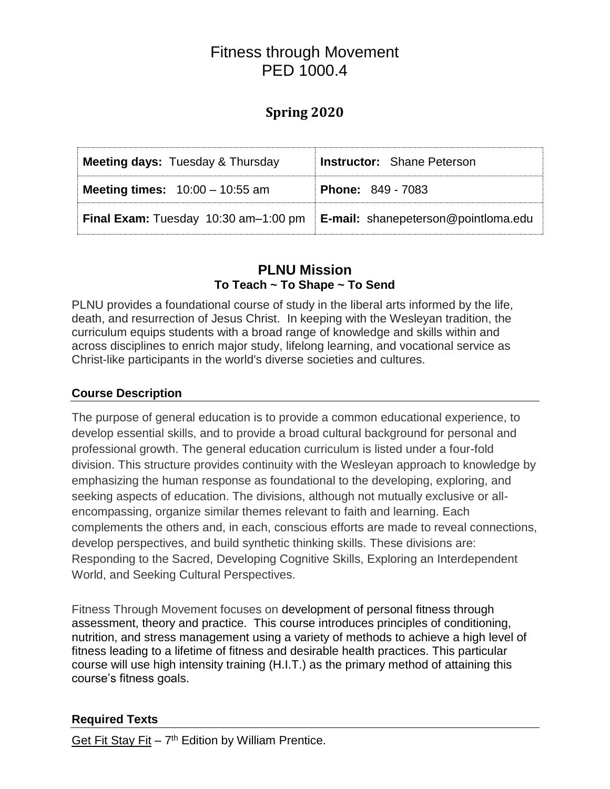# Fitness through Movement PED 1000.4

# **Spring 2020**

| <b>Meeting days: Tuesday &amp; Thursday</b> | <b>Instructor:</b> Shane Peterson          |  |  |
|---------------------------------------------|--------------------------------------------|--|--|
| <b>Meeting times:</b> $10:00 - 10:55$ am    | <b>Phone: 849 - 7083</b>                   |  |  |
| <b>Final Exam:</b> Tuesday 10:30 am-1:00 pm | <b>E-mail:</b> shanepeterson@pointloma.edu |  |  |

## **PLNU Mission To Teach ~ To Shape ~ To Send**

PLNU provides a foundational course of study in the liberal arts informed by the life, death, and resurrection of Jesus Christ. In keeping with the Wesleyan tradition, the curriculum equips students with a broad range of knowledge and skills within and across disciplines to enrich major study, lifelong learning, and vocational service as Christ-like participants in the world's diverse societies and cultures.

#### **Course Description**

The purpose of general education is to provide a common educational experience, to develop essential skills, and to provide a broad cultural background for personal and professional growth. The general education curriculum is listed under a four-fold division. This structure provides continuity with the Wesleyan approach to knowledge by emphasizing the human response as foundational to the developing, exploring, and seeking aspects of education. The divisions, although not mutually exclusive or allencompassing, organize similar themes relevant to faith and learning. Each complements the others and, in each, conscious efforts are made to reveal connections, develop perspectives, and build synthetic thinking skills. These divisions are: Responding to the Sacred, Developing Cognitive Skills, Exploring an Interdependent World, and Seeking Cultural Perspectives.

Fitness Through Movement focuses on development of personal fitness through assessment, theory and practice. This course introduces principles of conditioning, nutrition, and stress management using a variety of methods to achieve a high level of fitness leading to a lifetime of fitness and desirable health practices. This particular course will use high intensity training (H.I.T.) as the primary method of attaining this course's fitness goals.

#### **Required Texts**

Get Fit Stay Fit  $-7$ <sup>th</sup> Edition by William Prentice.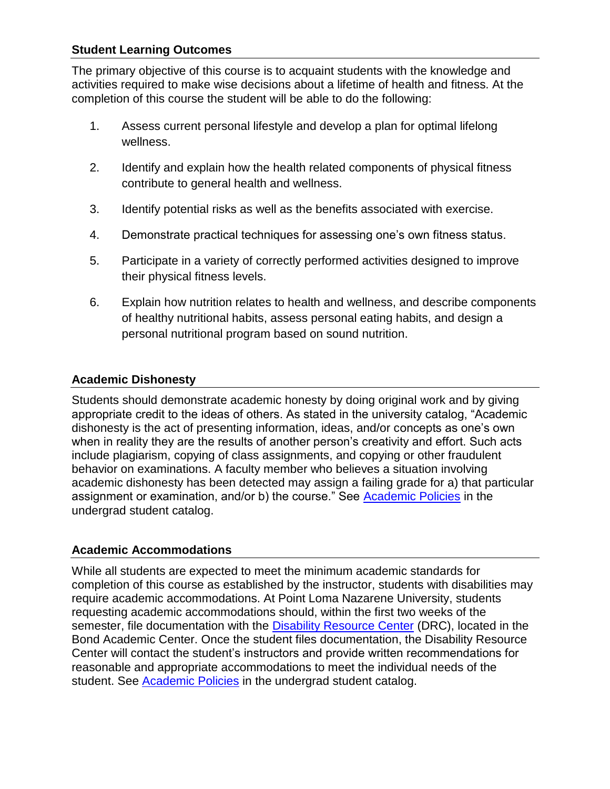#### **Student Learning Outcomes**

The primary objective of this course is to acquaint students with the knowledge and activities required to make wise decisions about a lifetime of health and fitness. At the completion of this course the student will be able to do the following:

- 1. Assess current personal lifestyle and develop a plan for optimal lifelong wellness.
- 2. Identify and explain how the health related components of physical fitness contribute to general health and wellness.
- 3. Identify potential risks as well as the benefits associated with exercise.
- 4. Demonstrate practical techniques for assessing one's own fitness status.
- 5. Participate in a variety of correctly performed activities designed to improve their physical fitness levels.
- 6. Explain how nutrition relates to health and wellness, and describe components of healthy nutritional habits, assess personal eating habits, and design a personal nutritional program based on sound nutrition.

#### **Academic Dishonesty**

Students should demonstrate academic honesty by doing original work and by giving appropriate credit to the ideas of others. As stated in the university catalog, "Academic dishonesty is the act of presenting information, ideas, and/or concepts as one's own when in reality they are the results of another person's creativity and effort. Such acts include plagiarism, copying of class assignments, and copying or other fraudulent behavior on examinations. A faculty member who believes a situation involving academic dishonesty has been detected may assign a failing grade for a) that particular assignment or examination, and/or b) the course." See [Academic Policies](http://www.pointloma.edu/experience/academics/catalogs/undergraduate-catalog/point-loma-education/academic-policies) in the undergrad student catalog.

#### **Academic Accommodations**

While all students are expected to meet the minimum academic standards for completion of this course as established by the instructor, students with disabilities may require academic accommodations. At Point Loma Nazarene University, students requesting academic accommodations should, within the first two weeks of the semester, file documentation with the [Disability Resource Center](http://www.pointloma.edu/experience/offices/administrative-offices/academic-advising-office/disability-resource-center) (DRC), located in the Bond Academic Center. Once the student files documentation, the Disability Resource Center will contact the student's instructors and provide written recommendations for reasonable and appropriate accommodations to meet the individual needs of the student. See [Academic Policies](http://www.pointloma.edu/experience/academics/catalogs/undergraduate-catalog/point-loma-education/academic-policies) in the undergrad student catalog.